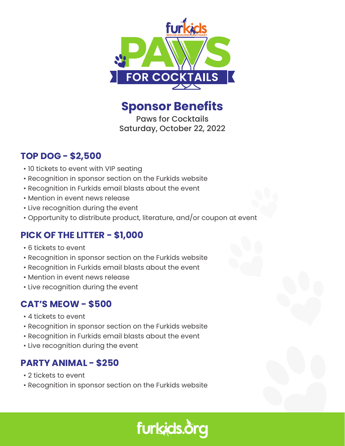

**Sponsor Benefits**

Paws for Cocktails Saturday, October 22, 2022

## **TOP DOG - \$2,500**

- 10 tickets to event with VIP seating
- Recognition in sponsor section on the Furkids website
- Recognition in Furkids email blasts about the event
- Mention in event news release
- Live recognition during the event
- Opportunity to distribute product, literature, and/or coupon at event

### **PICK OF THE LITTER - \$1,000**

- 6 tickets to event
- Recognition in sponsor section on the Furkids website
- Recognition in Furkids email blasts about the event
- Mention in event news release
- Live recognition during the event

## **CAT'S MEOW - \$500**

- 4 tickets to event
- Recognition in sponsor section on the Furkids website
- Recognition in Furkids email blasts about the event
- Live recognition during the event

# **PARTY ANIMAL - \$250**

- 2 tickets to event
- Recognition in sponsor section on the Furkids website

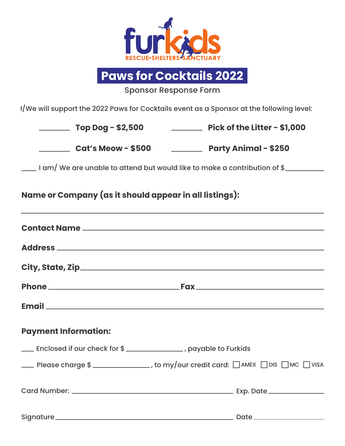

**Paws for Cocktails 2022**

Sponsor Response Form

I/We will support the 2022 Paws for Cocktails event as a Sponsor at the following level:

| $\frac{1}{2}$ Top Dog - \$2,500                                    |  | <b>Example 2016</b> Pick of the Litter - \$1,000                                              |  |
|--------------------------------------------------------------------|--|-----------------------------------------------------------------------------------------------|--|
| ___________ Cat's Meow - \$500 ______________ Party Animal - \$250 |  |                                                                                               |  |
|                                                                    |  | _____ I am/ We are unable to attend but would like to make a contribution of \$_________      |  |
| Name or Company (as it should appear in all listings):             |  |                                                                                               |  |
|                                                                    |  |                                                                                               |  |
|                                                                    |  |                                                                                               |  |
|                                                                    |  |                                                                                               |  |
|                                                                    |  |                                                                                               |  |
|                                                                    |  |                                                                                               |  |
| <b>Payment Information:</b>                                        |  |                                                                                               |  |
| Enclosed if our check for \$ _____________, payable to Furkids     |  |                                                                                               |  |
|                                                                    |  | <b>EXECUTE:</b> Please charge \$ _______________, to my/our credit card: □AMEX □DIS □MC □VISA |  |
|                                                                    |  |                                                                                               |  |
|                                                                    |  |                                                                                               |  |